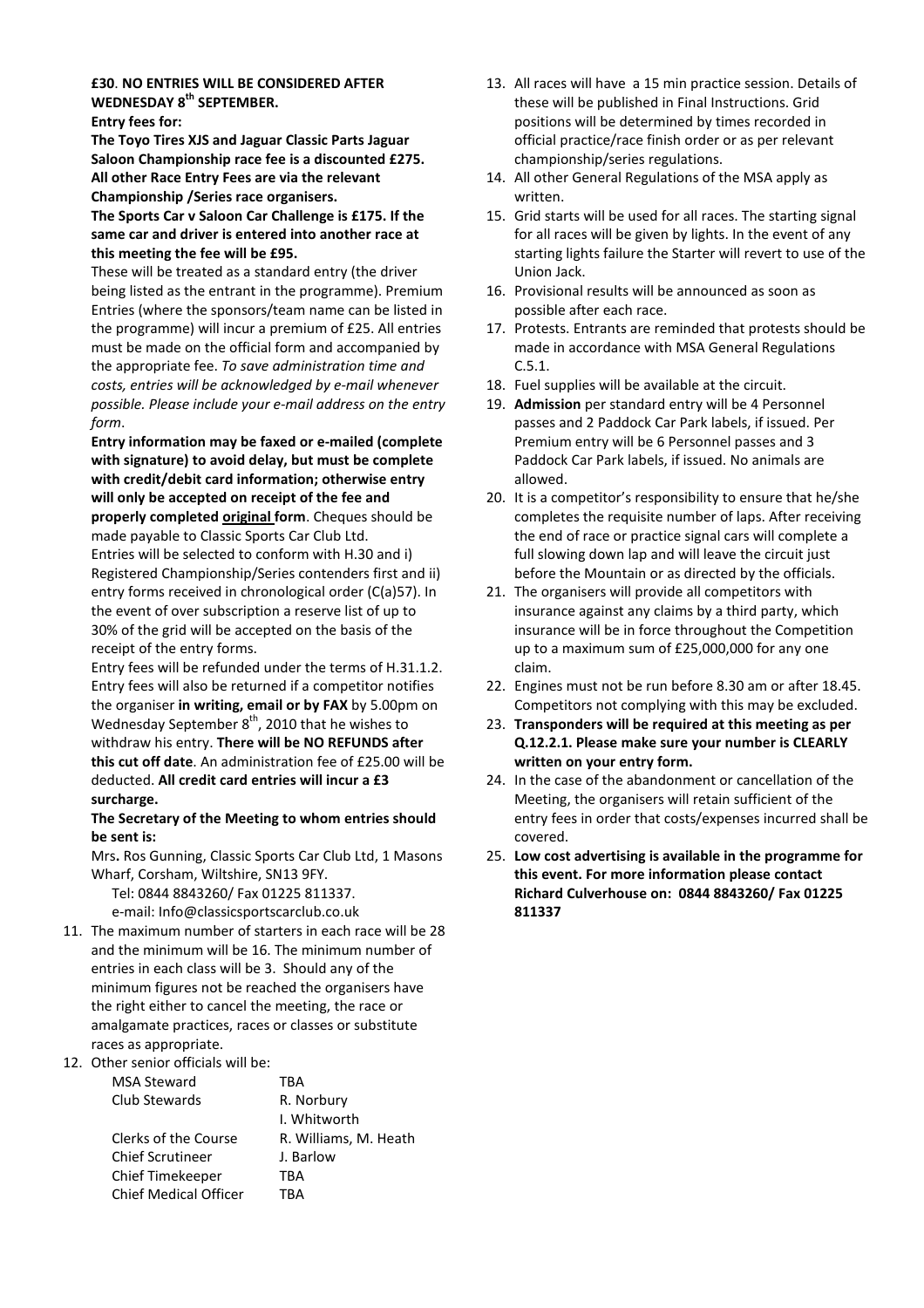#### £30. NO ENTRIES WILL BE CONSIDERED AFTER WEDNESDAY 8<sup>th</sup> SEPTEMBER. Entry fees for:

The Toyo Tires XJS and Jaguar Classic Parts Jaguar

Saloon Championship race fee is a discounted £275. All other Race Entry Fees are via the relevant Championship /Series race organisers.

The Sports Car v Saloon Car Challenge is £175. If the same car and driver is entered into another race at this meeting the fee will be £95.

These will be treated as a standard entry (the driver being listed as the entrant in the programme). Premium Entries (where the sponsors/team name can be listed in the programme) will incur a premium of £25. All entries must be made on the official form and accompanied by the appropriate fee. To save administration time and costs, entries will be acknowledged by e-mail whenever possible. Please include your e-mail address on the entry form.

Entry information may be faxed or e-mailed (complete with signature) to avoid delay, but must be complete with credit/debit card information; otherwise entry will only be accepted on receipt of the fee and properly completed original form. Cheques should be made payable to Classic Sports Car Club Ltd. Entries will be selected to conform with H.30 and i) Registered Championship/Series contenders first and ii) entry forms received in chronological order (C(a)57). In the event of over subscription a reserve list of up to 30% of the grid will be accepted on the basis of the receipt of the entry forms.

Entry fees will be refunded under the terms of H.31.1.2. Entry fees will also be returned if a competitor notifies the organiser in writing, email or by FAX by 5.00pm on Wednesday September 8<sup>th</sup>, 2010 that he wishes to withdraw his entry. There will be NO REFUNDS after this cut off date. An administration fee of £25.00 will be deducted. All credit card entries will incur a £3 surcharge.

## The Secretary of the Meeting to whom entries should be sent is:

Mrs. Ros Gunning, Classic Sports Car Club Ltd, 1 Masons Wharf, Corsham, Wiltshire, SN13 9FY.

Tel: 0844 8843260/ Fax 01225 811337. e-mail: Info@classicsportscarclub.co.uk

11. The maximum number of starters in each race will be 28 and the minimum will be 16. The minimum number of entries in each class will be 3. Should any of the minimum figures not be reached the organisers have the right either to cancel the meeting, the race or amalgamate practices, races or classes or substitute races as appropriate.

12. Other senior officials will be:

| <b>MSA Steward</b>           | TRA                   |
|------------------------------|-----------------------|
| Club Stewards                | R. Norbury            |
|                              | I. Whitworth          |
| Clerks of the Course         | R. Williams, M. Heath |
| <b>Chief Scrutineer</b>      | J. Barlow             |
| <b>Chief Timekeeper</b>      | TRA                   |
| <b>Chief Medical Officer</b> | <b>TRA</b>            |

- 13. All races will have a 15 min practice session. Details of these will be published in Final Instructions. Grid positions will be determined by times recorded in official practice/race finish order or as per relevant championship/series regulations.
- 14. All other General Regulations of the MSA apply as written.
- 15. Grid starts will be used for all races. The starting signal for all races will be given by lights. In the event of any starting lights failure the Starter will revert to use of the Union Jack.
- 16. Provisional results will be announced as soon as possible after each race.
- 17. Protests. Entrants are reminded that protests should be made in accordance with MSA General Regulations C.5.1.
- 18. Fuel supplies will be available at the circuit.
- 19. Admission per standard entry will be 4 Personnel passes and 2 Paddock Car Park labels, if issued. Per Premium entry will be 6 Personnel passes and 3 Paddock Car Park labels, if issued. No animals are allowed.
- 20. It is a competitor's responsibility to ensure that he/she completes the requisite number of laps. After receiving the end of race or practice signal cars will complete a full slowing down lap and will leave the circuit just before the Mountain or as directed by the officials.
- 21. The organisers will provide all competitors with insurance against any claims by a third party, which insurance will be in force throughout the Competition up to a maximum sum of £25,000,000 for any one claim.
- 22. Engines must not be run before 8.30 am or after 18.45. Competitors not complying with this may be excluded.
- 23. Transponders will be required at this meeting as per Q.12.2.1. Please make sure your number is CLEARLY written on your entry form.
- 24. In the case of the abandonment or cancellation of the Meeting, the organisers will retain sufficient of the entry fees in order that costs/expenses incurred shall be covered.
- 25. Low cost advertising is available in the programme for this event. For more information please contact Richard Culverhouse on: 0844 8843260/ Fax 01225 811337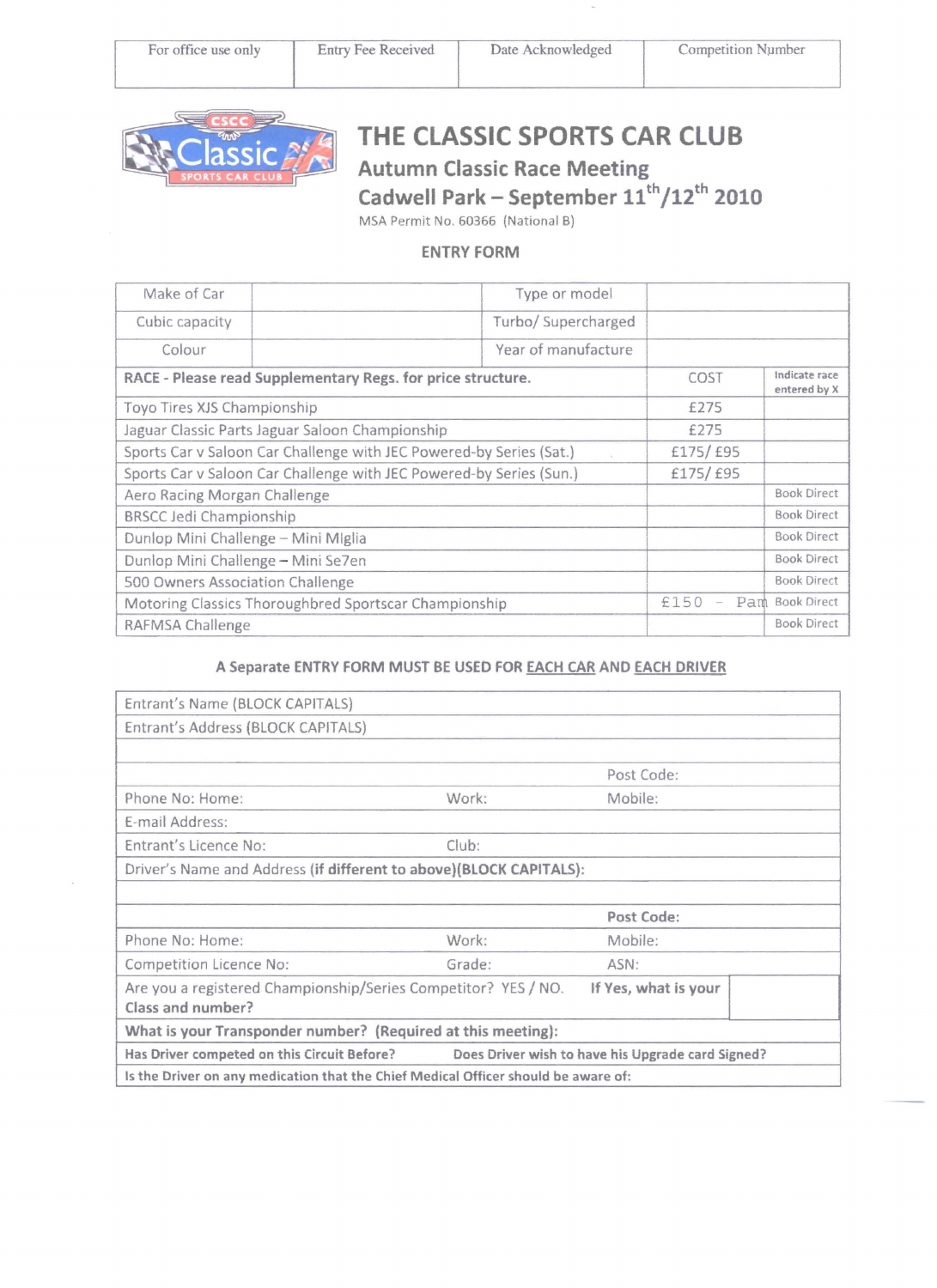

# THE CLASSIC SPORTS CAR CLUB Autumn Classic Race Meeting

Cadwell Park - September  $11^{\text{th}}/12^{\text{th}}$  2010

MSA Permit No. 60366 (National B)

## ENTRY FORM

| Make of Car                                                                                | Type or model       |                               |                    |
|--------------------------------------------------------------------------------------------|---------------------|-------------------------------|--------------------|
| Cubic capacity                                                                             | Turbo/ Supercharged |                               |                    |
| Colour                                                                                     | Year of manufacture |                               |                    |
| RACE - Please read Supplementary Regs. for price structure.                                | COST                | Indicate race<br>entered by X |                    |
| Toyo Tires XJS Championship                                                                |                     | £275                          |                    |
| Jaguar Classic Parts Jaguar Saloon Championship                                            |                     | £275                          |                    |
| Sports Car v Saloon Car Challenge with JEC Powered-by Series (Sat.)<br>$\overline{\gamma}$ |                     | £175/£95                      |                    |
| Sports Car v Saloon Car Challenge with JEC Powered-by Series (Sun.)                        |                     | £175/£95                      |                    |
| Aero Racing Morgan Challenge                                                               |                     |                               | <b>Book Direct</b> |
| <b>BRSCC Jedi Championship</b>                                                             |                     |                               | <b>Book Direct</b> |
| Dunlop Mini Challenge - Mini Miglia                                                        |                     |                               | <b>Book Direct</b> |
| Dunlop Mini Challenge - Mini Se7en                                                         |                     |                               | <b>Book Direct</b> |
| 500 Owners Association Challenge                                                           |                     |                               | <b>Book Direct</b> |
| Motoring Classics Thoroughbred Sportscar Championship                                      |                     | £150                          | Pam Book Direct    |
| RAFMSA Challenge                                                                           |                     |                               | <b>Book Direct</b> |

## A Separate ENTRY FORM MUST BE USED FOR EACH CAR AND EACH DRIVER

| Entrant's Name (BLOCK CAPITALS)                                                               |        |                      |  |  |
|-----------------------------------------------------------------------------------------------|--------|----------------------|--|--|
| Entrant's Address (BLOCK CAPITALS)                                                            |        |                      |  |  |
|                                                                                               |        |                      |  |  |
|                                                                                               |        | Post Code:           |  |  |
| Phone No: Home:                                                                               | Work:  | Mobile:              |  |  |
| E-mail Address:                                                                               |        |                      |  |  |
| Entrant's Licence No:                                                                         | Club:  |                      |  |  |
| Driver's Name and Address (if different to above)(BLOCK CAPITALS):                            |        |                      |  |  |
|                                                                                               |        |                      |  |  |
|                                                                                               |        | Post Code:           |  |  |
| Phone No: Home:                                                                               | Work:  | Mobile:              |  |  |
| Competition Licence No:                                                                       | Grade: | ASN:                 |  |  |
| Are you a registered Championship/Series Competitor? YES / NO.                                |        | If Yes, what is your |  |  |
| Class and number?                                                                             |        |                      |  |  |
| What is your Transponder number? (Required at this meeting):                                  |        |                      |  |  |
| Has Driver competed on this Circuit Before? Does Driver wish to have his Upgrade card Signed? |        |                      |  |  |
| Is the Driver on any medication that the Chief Medical Officer should be aware of:            |        |                      |  |  |